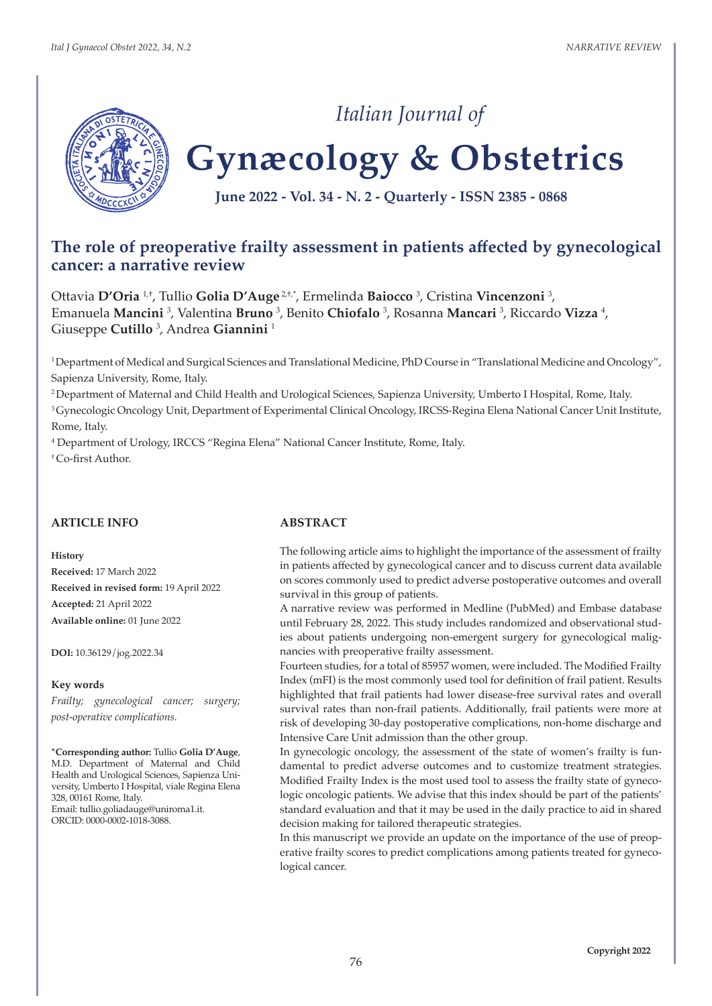

# *Italian Journal of*

# **Gynæcology & Obstetrics**

**June 2022 - Vol. 34 - N. 2 - Quarterly - ISSN 2385 - 0868**

# **The role of preoperative frailty assessment in patients affected by gynecological cancer: a narrative review**

Ottavia **D'Oria** 1,†, Tullio **Golia D'Auge** 2,†,\*, Ermelinda **Baiocco** <sup>3</sup> , Cristina **Vincenzoni** <sup>3</sup> , Emanuela **Mancini**<sup>3</sup>, Valentina **Bruno**<sup>3</sup>, Benito **Chiofalo**<sup>3</sup>, Rosanna **Mancari**<sup>3</sup>, Riccardo **Vizza**<sup>4</sup>, Giuseppe **Cutillo** <sup>3</sup> , Andrea **Giannini** <sup>1</sup>

<sup>1</sup>Department of Medical and Surgical Sciences and Translational Medicine, PhD Course in "Translational Medicine and Oncology", Sapienza University, Rome, Italy.

<sup>2</sup>Department of Maternal and Child Health and Urological Sciences, Sapienza University, Umberto I Hospital, Rome, Italy. <sup>3</sup> Gynecologic Oncology Unit, Department of Experimental Clinical Oncology, IRCSS-Regina Elena National Cancer Unit Institute, Rome, Italy.

4 Department of Urology, IRCCS "Regina Elena" National Cancer Institute, Rome, Italy.

† Co-first Author.

#### **ARTICLE INFO**

**History**

**Received:** 17 March 2022 **Received in revised form:** 19 April 2022 **Accepted:** 21 April 2022 **Available online:** 01 June 2022

**DOI:** 10.36129/jog.2022.34

#### **Key words**

*Frailty; gynecological cancer; surgery; post-operative complications.*

**\*Corresponding author:** Tullio **Golia D'Auge**, M.D. Department of Maternal and Child Health and Urological Sciences, Sapienza University, Umberto I Hospital, viale Regina Elena 328, 00161 Rome, Italy. Email: tullio.goliadauge@uniroma1.it. ORCID: 0000-0002-1018-3088.

#### **ABSTRACT**

The following article aims to highlight the importance of the assessment of frailty in patients affected by gynecological cancer and to discuss current data available on scores commonly used to predict adverse postoperative outcomes and overall survival in this group of patients.

A narrative review was performed in Medline (PubMed) and Embase database until February 28, 2022. This study includes randomized and observational studies about patients undergoing non-emergent surgery for gynecological malignancies with preoperative frailty assessment.

Fourteen studies, for a total of 85957 women, were included. The Modified Frailty Index (mFI) is the most commonly used tool for definition of frail patient. Results highlighted that frail patients had lower disease-free survival rates and overall survival rates than non-frail patients. Additionally, frail patients were more at risk of developing 30-day postoperative complications, non-home discharge and Intensive Care Unit admission than the other group.

In gynecologic oncology, the assessment of the state of women's frailty is fundamental to predict adverse outcomes and to customize treatment strategies. Modified Frailty Index is the most used tool to assess the frailty state of gynecologic oncologic patients. We advise that this index should be part of the patients' standard evaluation and that it may be used in the daily practice to aid in shared decision making for tailored therapeutic strategies.

In this manuscript we provide an update on the importance of the use of preoperative frailty scores to predict complications among patients treated for gynecological cancer.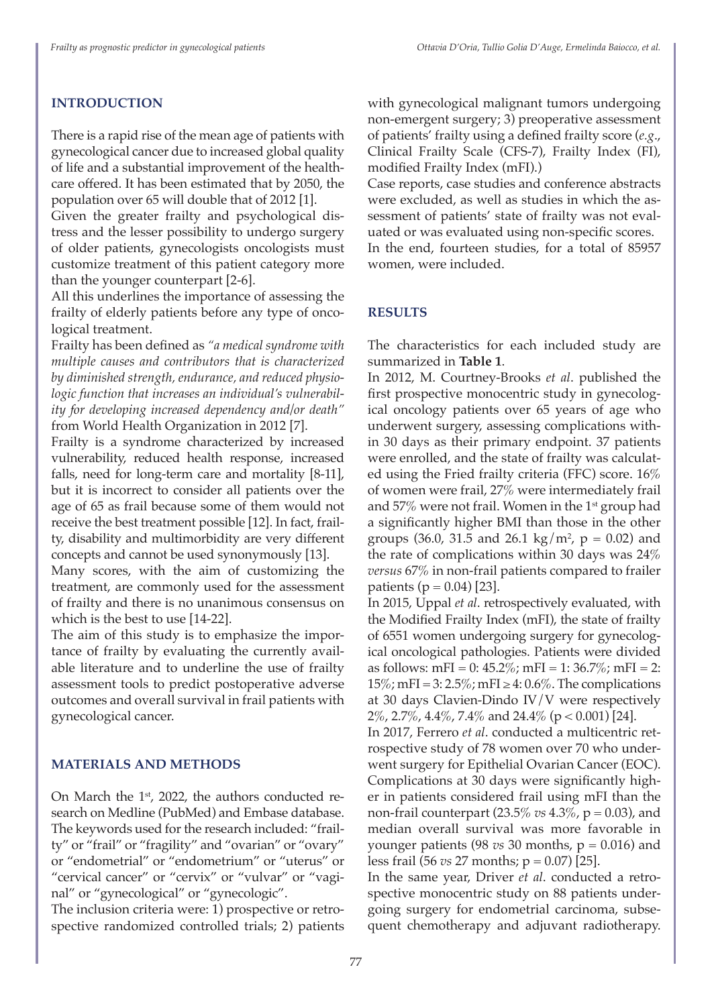## **INTRODUCTION**

There is a rapid rise of the mean age of patients with gynecological cancer due to increased global quality of life and a substantial improvement of the healthcare offered. It has been estimated that by 2050, the population over 65 will double that of 2012 [1].

Given the greater frailty and psychological distress and the lesser possibility to undergo surgery of older patients, gynecologists oncologists must customize treatment of this patient category more than the younger counterpart [2-6].

All this underlines the importance of assessing the frailty of elderly patients before any type of oncological treatment.

Frailty has been defined as *"a medical syndrome with multiple causes and contributors that is characterized by diminished strength, endurance, and reduced physiologic function that increases an individual's vulnerability for developing increased dependency and/or death"*  from World Health Organization in 2012 [7].

Frailty is a syndrome characterized by increased vulnerability, reduced health response, increased falls, need for long-term care and mortality [8-11], but it is incorrect to consider all patients over the age of 65 as frail because some of them would not receive the best treatment possible [12]. In fact, frailty, disability and multimorbidity are very different concepts and cannot be used synonymously [13].

Many scores, with the aim of customizing the treatment, are commonly used for the assessment of frailty and there is no unanimous consensus on which is the best to use [14-22].

The aim of this study is to emphasize the importance of frailty by evaluating the currently available literature and to underline the use of frailty assessment tools to predict postoperative adverse outcomes and overall survival in frail patients with gynecological cancer.

#### **MATERIALS AND METHODS**

On March the 1<sup>st</sup>, 2022, the authors conducted research on Medline (PubMed) and Embase database. The keywords used for the research included: "frailty" or "frail" or "fragility" and "ovarian" or "ovary" or "endometrial" or "endometrium" or "uterus" or "cervical cancer" or "cervix" or "vulvar" or "vaginal" or "gynecological" or "gynecologic".

The inclusion criteria were: 1) prospective or retrospective randomized controlled trials; 2) patients with gynecological malignant tumors undergoing non-emergent surgery; 3) preoperative assessment of patients' frailty using a defined frailty score (*e.g*., Clinical Frailty Scale (CFS-7), Frailty Index (FI), modified Frailty Index (mFI).)

Case reports, case studies and conference abstracts were excluded, as well as studies in which the assessment of patients' state of frailty was not evaluated or was evaluated using non-specific scores. In the end, fourteen studies, for a total of 85957 women, were included.

#### **RESULTS**

The characteristics for each included study are summarized in **Table 1**.

In 2012, M. Courtney-Brooks *et al*. published the first prospective monocentric study in gynecological oncology patients over 65 years of age who underwent surgery, assessing complications within 30 days as their primary endpoint. 37 patients were enrolled, and the state of frailty was calculated using the Fried frailty criteria (FFC) score. 16% of women were frail, 27% were intermediately frail and 57% were not frail. Women in the 1st group had a significantly higher BMI than those in the other groups (36.0, 31.5 and 26.1 kg/m<sup>2</sup>,  $p = 0.02$ ) and the rate of complications within 30 days was 24% *versus* 67% in non-frail patients compared to frailer patients ( $p = 0.04$ ) [23].

In 2015, Uppal *et al*. retrospectively evaluated, with the Modified Frailty Index (mFI), the state of frailty of 6551 women undergoing surgery for gynecological oncological pathologies. Patients were divided as follows: mFI = 0:  $45.2\%$ ; mFI = 1:  $36.7\%$ ; mFI = 2:  $15\%$ ; mFI = 3: 2.5%; mFI  $\geq$  4: 0.6%. The complications at 30 days Clavien-Dindo IV/V were respectively 2%, 2.7%, 4.4%, 7.4% and 24.4% (p < 0.001) [24].

In 2017, Ferrero *et al*. conducted a multicentric retrospective study of 78 women over 70 who underwent surgery for Epithelial Ovarian Cancer (EOC). Complications at 30 days were significantly higher in patients considered frail using mFI than the non-frail counterpart (23.5% *vs* 4.3%, p = 0.03), and median overall survival was more favorable in younger patients (98  $vs$  30 months,  $p = 0.016$ ) and less frail (56 *vs* 27 months; p = 0.07) [25].

In the same year, Driver *et al*. conducted a retrospective monocentric study on 88 patients undergoing surgery for endometrial carcinoma, subsequent chemotherapy and adjuvant radiotherapy.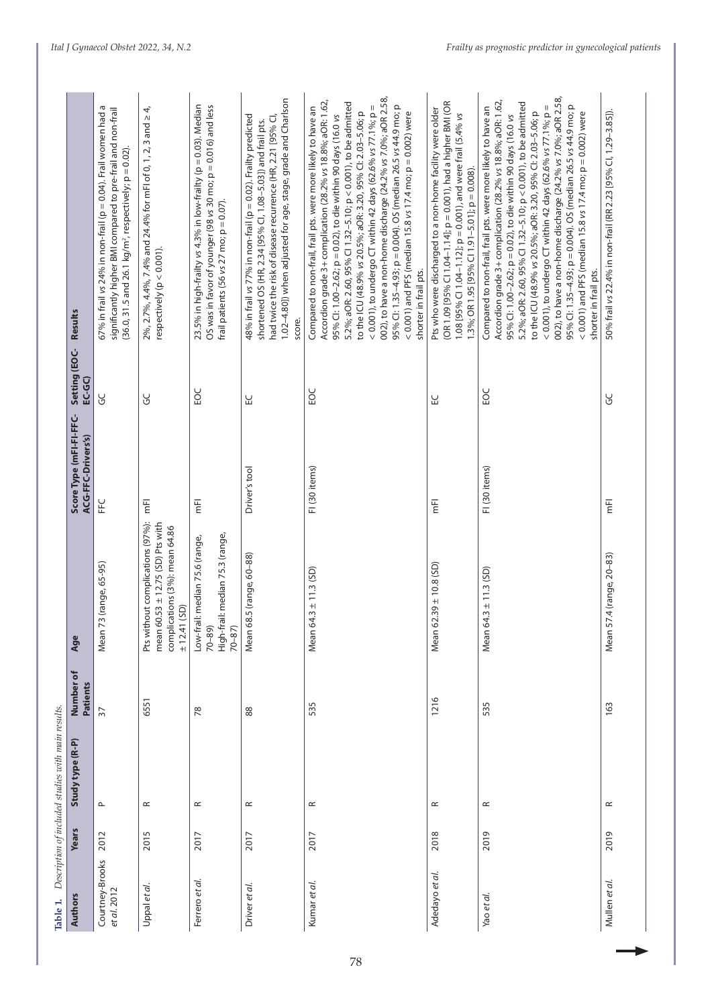| Table 1.                       |       | Description of included studies with main results. |                       |                                                                                                                            |                                               |                          |                                                                                                                                                                                                                                                                                                                                                                                                                                                                                                                                                                                                                        |
|--------------------------------|-------|----------------------------------------------------|-----------------------|----------------------------------------------------------------------------------------------------------------------------|-----------------------------------------------|--------------------------|------------------------------------------------------------------------------------------------------------------------------------------------------------------------------------------------------------------------------------------------------------------------------------------------------------------------------------------------------------------------------------------------------------------------------------------------------------------------------------------------------------------------------------------------------------------------------------------------------------------------|
| Authors                        | Years | Study type (R-P)                                   | Number of<br>Patients | Age                                                                                                                        | Score Type (mFI-FI-FFC-<br>ACG-FFC-Drivers's) | Setting (EOC-<br>$EC-GC$ | Results                                                                                                                                                                                                                                                                                                                                                                                                                                                                                                                                                                                                                |
| Courtney-Brooks<br>et al. 2012 | 2012  | $\mathbf{\underline{\sim}}$                        | 37                    | Mean 73 (range, 65-95)                                                                                                     | し<br>上                                        | ပ္ပ                      | Б<br>significantly higher BMI compared to pre-frail and non-frail<br>67% in frail vs 24% in non-frail (p = 0.04). Frail women had<br>$(36.0, 31.5$ and $26.1$ kg/m <sup>2</sup> , respectively; $p = 0.02$ ).                                                                                                                                                                                                                                                                                                                                                                                                          |
| Uppal et al.                   | 2015  | $\simeq$                                           | 6551                  | Pts without complications (97%):<br>mean $60.53 \pm 12.75$ (SD) Pts with<br>complications (3%): mean 64.86<br>± 12.41 (SD) | Έ                                             | ပ္ပ                      | 2%, 2.7%, 4.4%, 7.4% and 24.4% for mFl of 0, 1, 2, 3 and $\geq$ 4,<br>respectively ( $p < 0.001$ ).                                                                                                                                                                                                                                                                                                                                                                                                                                                                                                                    |
| Ferrero et al.                 | 2017  | $\simeq$                                           | 78                    | High-frail: median 75.3 (range,<br>Low-frail: median 75.6 (range,<br>$70 - 89$<br>$70 - 87$ )                              | Έ                                             | <b>DS</b>                | 23.5% in high-frailty vs 4.3% in low-frailty (p = 0.03). Median<br>OS was in favor of younger (98 vs 30 mo; p = 0.016) and less<br>frail patients (56 vs 27 mo; $p = 0.07$ ).                                                                                                                                                                                                                                                                                                                                                                                                                                          |
| Driver et al.                  | 2017  | $\simeq$                                           | 88                    | .5 (range, 60-88)<br>Mean 68                                                                                               | Driver's tool                                 | 싶                        | 1.02-4.80]) when adjusted for age, stage, grade and Charlson<br>48% in frail vs 77% in non-frail (p = 0.02). Frailty predicted<br>had twice the risk of disease recurrence (HR, 2.21 [95% CI,<br>shortened OS (HR, 2.34 [95% CI, 1.08-5.03]) and frail pts.<br>score.                                                                                                                                                                                                                                                                                                                                                  |
| Kumar et al.                   | 2017  | $\simeq$                                           | 535                   | $.3 \pm 11.3$ (SD)<br>Mean 64                                                                                              | FI (30 items)                                 | <b>DS</b>                | 002), to have a non-home discharge (24.2% vs 7.0%; aOR 2.58,<br>Accordion grade 3+ complication (28.2% vs 18.8%; aOR: 1.62,<br>5.2%; aOR: 2.60, 95% CI 1.32-5.10; p < 0.001), to be admitted<br>95% Cl: 1.35-4.93; p = 0.004). OS (median 26.5 vs 44.9 mo; p<br>< 0.001), to undergo CT within 42 days (62.6% vs 77.1%; $p =$<br>Compared to non-frail, frail pts. were more likely to have an<br>to the ICU (48.9% vs 20.5%; aOR: 3.20, 95% CI: 2.03-5.06; p<br>< 0.001) and PFS (median 15.8 vs 17.4 mo; $p = 0.002$ ) were<br>95% Cl: 1.00-2.62; p = 0.02), to die within 90 days (16.0 vs<br>shorter in frail pts. |
| Adedayo et al.                 | 2018  | $\simeq$                                           | 1216                  | $.39 \pm 10.8$ (SD)<br>Mean 6.                                                                                             | Έ                                             | 닚                        | (OR 1.09 [95% Cl 1.04-1.14]; p = 0.001), had a higher BMI (OR<br>Pts who were discharged to a non-home facility were older<br>1.08 [95% Cl 1.04-1.12]; $p = 0.001$ ), and were frail (5.4% vs<br>1.3%; OR 1.95 [95% CI 1.91-5.01]; p = 0.008).                                                                                                                                                                                                                                                                                                                                                                         |
| Yao et al.                     | 2019  | $\simeq$                                           | 535                   | $.3 \pm 11.3$ (SD)<br>Mean 64                                                                                              | FI (30 items)                                 | <b>POC</b>               | 002), to have a non-home discharge (24.2% vs 7.0%; aOR 2.58,<br>Accordion grade 3+ complication (28.2% vs 18.8%; aOR: 1.62,<br>5.2%; aOR: 2.60, 95% CI 1.32-5.10; p < 0.001), to be admitted<br>< 0.001), to undergo CT within 42 days (62.6% vs 77.1%; p =<br>95% Cl: 1.35-4.93; p = 0.004). OS (median 26.5 vs 44.9 mo; p<br>Compared to non-frail, frail pts. were more likely to have an<br>to the ICU (48.9% vs 20.5%; aOR: 3.20, 95% CI: 2.03-5.06; p<br>< 0.001) and PFS (median 15.8 vs 17.4 mo; $p = 0.002$ ) were<br>95% Cl: 1.00-2.62; p = 0.02), to die within 90 days (16.0 vs<br>shorter in frail pts.   |
| Mullen et al.                  | 2019  | $\simeq$                                           | 163                   | .4 (range, 20-83)<br>Mean 57                                                                                               | Έ                                             | မ္ပ                      | 50% frail vs 22.4% in non-frail (RR 2.23 [95% Cl, 1.29-3.85]).                                                                                                                                                                                                                                                                                                                                                                                                                                                                                                                                                         |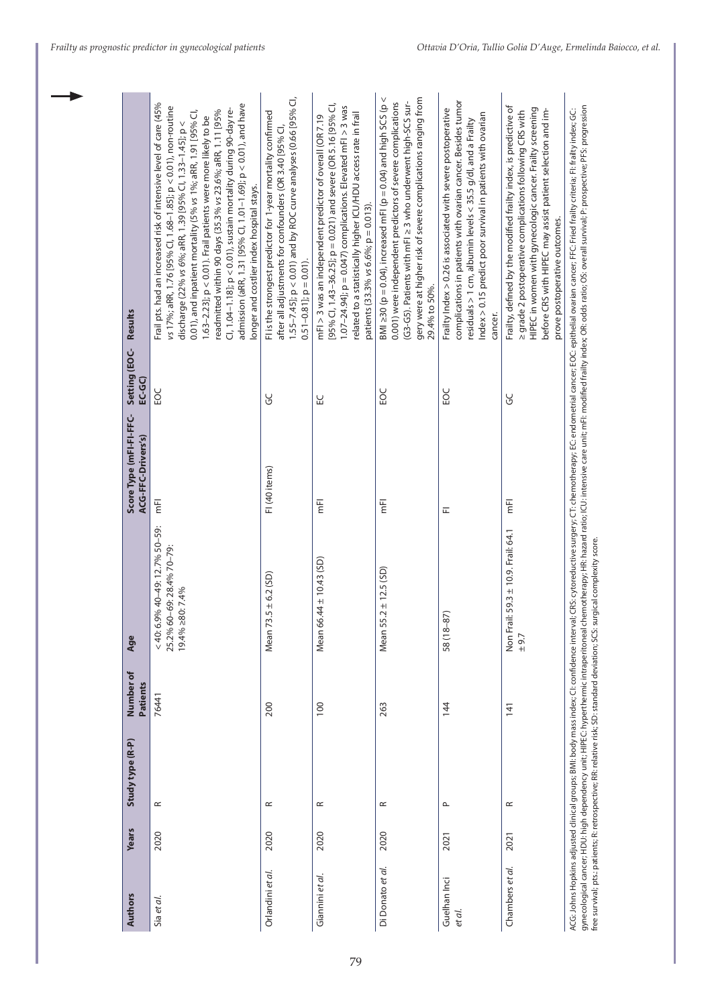| Authors                | Years | Study type (R-P)       | Number of<br>Patients | Age                                                                                  | Score Type (mFI-FI-FFC-<br>ACG-FFC-Drivers's) | Setting (EOC-<br>$EC-GC$ | Results                                                                                                                                                                                                                                                                                                                                                                                                                                                                                                                                                                    |
|------------------------|-------|------------------------|-----------------------|--------------------------------------------------------------------------------------|-----------------------------------------------|--------------------------|----------------------------------------------------------------------------------------------------------------------------------------------------------------------------------------------------------------------------------------------------------------------------------------------------------------------------------------------------------------------------------------------------------------------------------------------------------------------------------------------------------------------------------------------------------------------------|
| Sia et al.             | 2020  | $\simeq$               | 76441                 | < 40: 6.9% 40-49: 12.7% 50-59:<br>25.2% 60-69: 28.4% 70-79:<br>$19.4\% \ge 80:7.4\%$ | $\overline{\overline{\epsilon}}$              | <b>POC</b>               | Frail pts. had an increased risk of intensive level of care (45%<br>admission (aRR, 1.31 [95% Cl, 1.01-1.69]; p < 0.01), and have<br>vs 17%; aRR, 1.76 [95% Cl, 1.68-1.85]; p < 0.01), non-routine<br>Cl, 1.04-1.18]; p < 0.01), sustain mortality during 90-day re-<br>0.01), and inpatient mortality (5% vs 1%; aRR, 1.91 [95% CI,<br>readmitted within 90 days (35.3% vs 23.6%; aRR, 1.11 [95%<br>1.63-2.23]; p < 0.01). Frail patients were more likely to be<br>discharge (22% vs 6%; aRR, 1.39 [95% Cl, 1.33-1.45]; p <<br>longer and costlier index hospital stays. |
| Orlandini et al.       | 2020  | $\simeq$               | 200                   | Mean 73.5 $\pm$ 6.2 (SD)                                                             | FI (40 items)                                 | ΟŚ                       | $1.55 - 7.45$ ]; $p < 0.01$ ) and by ROC curve analyses (0.66 [95% CI,<br>FI is the strongest predictor for 1-year mortality confirmed<br>after all adjustments for confounders (OR 3.40 [95% CI,<br>$0.51 - 0.81$ ; $p = 0.01$ ).                                                                                                                                                                                                                                                                                                                                         |
| Giannini et al.        | 2020  | $\approx$              | 100                   | Mean 66.44 ± 10.43 (SD)                                                              | $\overline{\mathbf{E}}$                       | 닌                        | [95% Cl, 1.43-36.25]; $p = 0.021$ ) and severe (OR 5.16 [95% Cl,<br>1.07-24.94]; $p = 0.047$ ) complications. Elevated mFI > 3 was<br>related to a statistically higher ICU/HDU access rate in frail<br>mFI > 3 was an independent predictor of overall (OR 7.19<br>patients (33.3% vs 6.6%; $p = 0.013$ ).                                                                                                                                                                                                                                                                |
| Di Donato et al.       | 2020  | $\simeq$               | 263                   | $5.2 \pm 12.5$ (SD)<br>Mean 5!                                                       | Ē                                             | 502                      | BMI $\geq$ 30 (p = 0.04), increased mFI (p = 0.04) and high SCS (p <<br>gery were at higher risk of severe complications ranging from<br>(G3-G5). Patients with mFl ≥ 3 who underwent high-SCS sur-<br>0.001) were independent predictors of severe complications<br>29.4% to 50%.                                                                                                                                                                                                                                                                                         |
| Guelhan Inci<br>et al. | 2021  | $\mathrel{\mathsf{a}}$ | 144                   | 58 (18-87)                                                                           | 匸                                             | <b>POC</b>               | complications in patients with ovarian cancer. Besides tumor<br>Frailty Index > 0.26 is associated with severe postoperative<br>ndex > 0.15 predict poor survival in patients with ovarian<br>residuals > 1 cm, albumin levels $<$ 35.5 g/dl, and a Frailty<br>cancer.                                                                                                                                                                                                                                                                                                     |
| Chambers et al.        | 2021  | $\simeq$               | 141                   | Non Frail: 59.3 ± 10.9. Frail: 64.1<br>±9.7                                          | 固                                             | မွ                       | Frailty, defined by the modified frailty index, is predictive of<br>HIPEC in women with gynecologic cancer. Frailty screening<br>before CRS with HIPEC may assist patient selection and im-<br>a grade 2 postoperative complications following CRS with<br>prove postoperative outcomes.                                                                                                                                                                                                                                                                                   |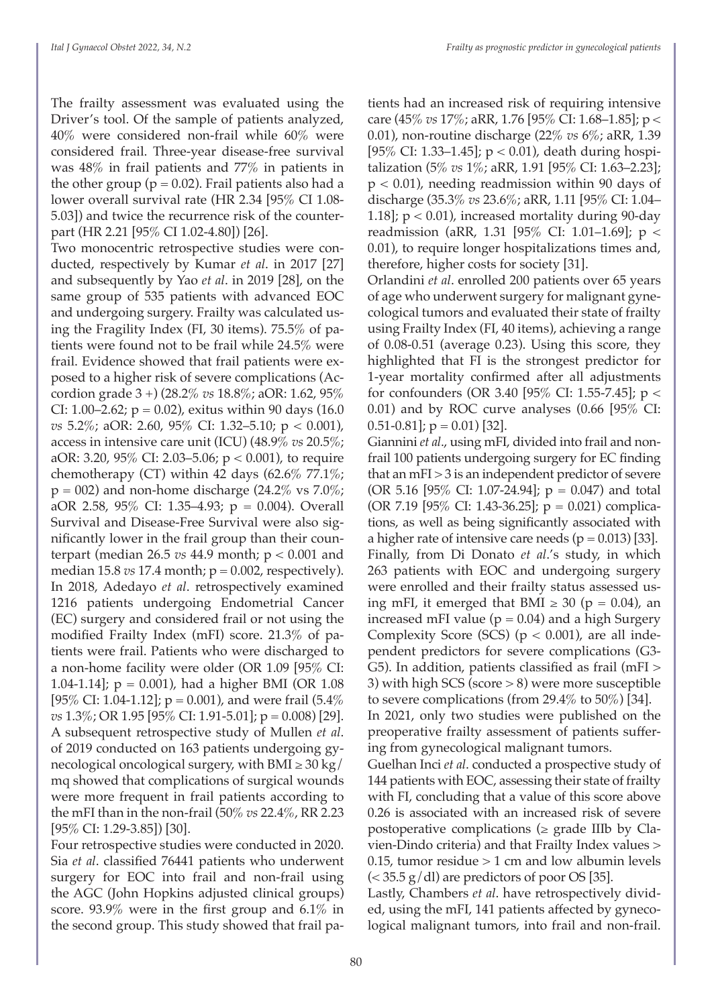The frailty assessment was evaluated using the Driver's tool. Of the sample of patients analyzed, 40% were considered non-frail while 60% were considered frail. Three-year disease-free survival was 48% in frail patients and 77% in patients in the other group ( $p = 0.02$ ). Frail patients also had a lower overall survival rate (HR 2.34 [95% CI 1.08- 5.03]) and twice the recurrence risk of the counterpart (HR 2.21 [95% CI 1.02-4.80]) [26].

Two monocentric retrospective studies were conducted, respectively by Kumar *et al*. in 2017 [27] and subsequently by Yao *et al*. in 2019 [28], on the same group of 535 patients with advanced EOC and undergoing surgery. Frailty was calculated using the Fragility Index (FI, 30 items). 75.5% of patients were found not to be frail while 24.5% were frail. Evidence showed that frail patients were exposed to a higher risk of severe complications (Accordion grade 3 +) (28.2% *vs* 18.8%; aOR: 1.62, 95% CI: 1.00–2.62;  $p = 0.02$ ), exitus within 90 days (16.0) *vs* 5.2%; aOR: 2.60, 95% CI: 1.32–5.10; p < 0.001), access in intensive care unit (ICU) (48.9% *vs* 20.5%; aOR: 3.20, 95% CI: 2.03–5.06;  $p < 0.001$ ), to require chemotherapy (CT) within 42 days (62.6% 77.1%;  $p = 002$ ) and non-home discharge (24.2% vs 7.0%; aOR 2.58, 95% CI: 1.35–4.93; p = 0.004). Overall Survival and Disease-Free Survival were also significantly lower in the frail group than their counterpart (median 26.5 *vs* 44.9 month; p < 0.001 and median 15.8  $vs$  17.4 month;  $p = 0.002$ , respectively). In 2018, Adedayo *et al*. retrospectively examined 1216 patients undergoing Endometrial Cancer (EC) surgery and considered frail or not using the modified Frailty Index (mFI) score. 21.3% of patients were frail. Patients who were discharged to a non-home facility were older (OR 1.09 [95% CI: 1.04-1.14];  $p = 0.001$ ), had a higher BMI (OR 1.08 [95% CI: 1.04-1.12];  $p = 0.001$ ), and were frail (5.4%) *vs* 1.3%; OR 1.95 [95% CI: 1.91-5.01]; p = 0.008) [29]. A subsequent retrospective study of Mullen *et al*. of 2019 conducted on 163 patients undergoing gynecological oncological surgery, with BMI  $\geq 30 \text{ kg/s}$ mq showed that complications of surgical wounds were more frequent in frail patients according to the mFI than in the non-frail (50% *vs* 22.4%, RR 2.23 [95% CI: 1.29-3.85]) [30].

Four retrospective studies were conducted in 2020. Sia *et al*. classified 76441 patients who underwent surgery for EOC into frail and non-frail using the AGC (John Hopkins adjusted clinical groups) score. 93.9% were in the first group and 6.1% in the second group. This study showed that frail pa-

tients had an increased risk of requiring intensive care (45% *vs* 17%; aRR, 1.76 [95% CI: 1.68–1.85]; p < 0.01), non-routine discharge (22% *vs* 6%; aRR, 1.39 [ $95\%$  CI: 1.33–1.45];  $p < 0.01$ ), death during hospitalization (5% *vs* 1%; aRR, 1.91 [95% CI: 1.63–2.23]; p < 0.01), needing readmission within 90 days of discharge (35.3% *vs* 23.6%; aRR, 1.11 [95% CI: 1.04– 1.18];  $p < 0.01$ ), increased mortality during 90-day readmission (aRR, 1.31 [95% CI: 1.01–1.69]; p < 0.01), to require longer hospitalizations times and, therefore, higher costs for society [31].

Orlandini *et al*. enrolled 200 patients over 65 years of age who underwent surgery for malignant gynecological tumors and evaluated their state of frailty using Frailty Index (FI, 40 items), achieving a range of 0.08-0.51 (average 0.23). Using this score, they highlighted that FI is the strongest predictor for 1-year mortality confirmed after all adjustments for confounders (OR 3.40 [95% CI: 1.55-7.45]; p < 0.01) and by ROC curve analyses  $(0.66 \; [95\% \; CI:$  $[0.51-0.81]$ ; p = 0.01) [32].

Giannini *et al*., using mFI, divided into frail and nonfrail 100 patients undergoing surgery for EC finding that an mFI > 3 is an independent predictor of severe (OR 5.16 [95% CI: 1.07-24.94];  $p = 0.047$ ) and total (OR 7.19 [95% CI: 1.43-36.25];  $p = 0.021$ ) complications, as well as being significantly associated with a higher rate of intensive care needs ( $p = 0.013$ ) [33]. Finally, from Di Donato *et al*.'s study, in which 263 patients with EOC and undergoing surgery were enrolled and their frailty status assessed using mFI, it emerged that BMI  $\geq$  30 (p = 0.04), an increased mFI value ( $p = 0.04$ ) and a high Surgery Complexity Score (SCS) ( $p < 0.001$ ), are all independent predictors for severe complications (G3- G5). In addition, patients classified as frail (mFI > 3) with high SCS (score > 8) were more susceptible to severe complications (from 29.4% to  $50\%$ ) [34].

In 2021, only two studies were published on the preoperative frailty assessment of patients suffering from gynecological malignant tumors.

Guelhan Inci *et al*. conducted a prospective study of 144 patients with EOC, assessing their state of frailty with FI, concluding that a value of this score above 0.26 is associated with an increased risk of severe postoperative complications ( $\geq$  grade IIIb by Clavien-Dindo criteria) and that Frailty Index values > 0.15, tumor residue  $> 1$  cm and low albumin levels  $\approx$  35.5 g/dl) are predictors of poor OS [35].

Lastly, Chambers *et al*. have retrospectively divided, using the mFI, 141 patients affected by gynecological malignant tumors, into frail and non-frail.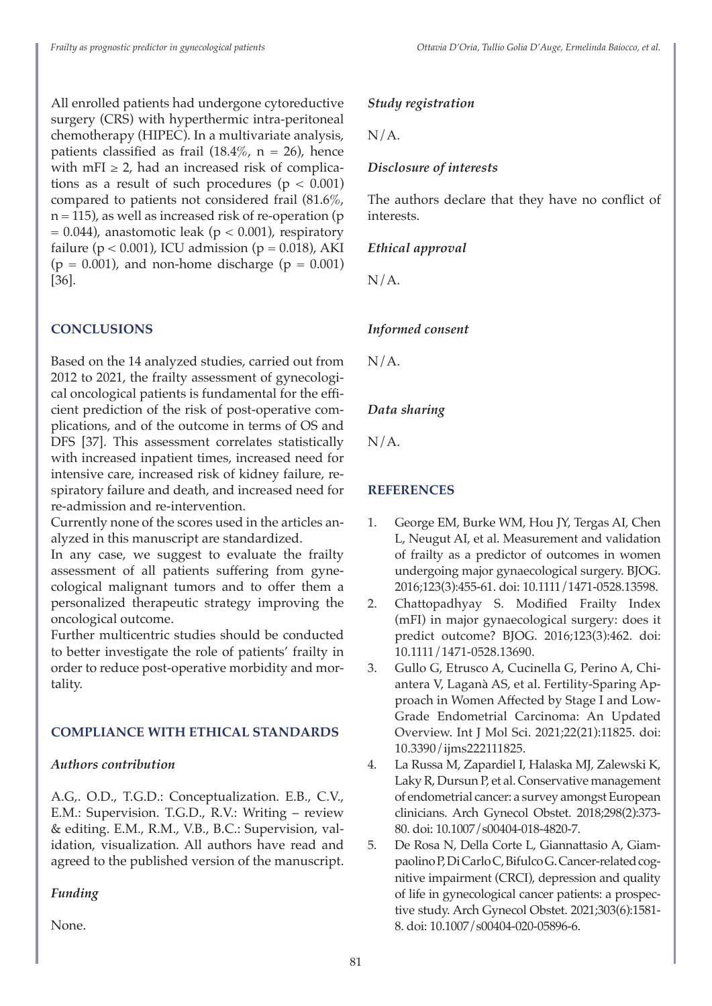All enrolled patients had undergone cytoreductive surgery (CRS) with hyperthermic intra-peritoneal chemotherapy (HIPEC). In a multivariate analysis, patients classified as frail  $(18.4\% , n = 26)$ , hence with mFI  $\geq$  2, had an increased risk of complications as a result of such procedures  $(p < 0.001)$ compared to patients not considered frail (81.6%,  $n = 115$ ), as well as increased risk of re-operation (p  $= 0.044$ ), anastomotic leak (p < 0.001), respiratory failure ( $p < 0.001$ ), ICU admission ( $p = 0.018$ ), AKI ( $p = 0.001$ ), and non-home discharge ( $p = 0.001$ ) [36].

# **CONCLUSIONS**

Based on the 14 analyzed studies, carried out from 2012 to 2021, the frailty assessment of gynecological oncological patients is fundamental for the efficient prediction of the risk of post-operative complications, and of the outcome in terms of OS and DFS [37]. This assessment correlates statistically with increased inpatient times, increased need for intensive care, increased risk of kidney failure, respiratory failure and death, and increased need for re-admission and re-intervention.

Currently none of the scores used in the articles analyzed in this manuscript are standardized.

In any case, we suggest to evaluate the frailty assessment of all patients suffering from gynecological malignant tumors and to offer them a personalized therapeutic strategy improving the oncological outcome.

Further multicentric studies should be conducted to better investigate the role of patients' frailty in order to reduce post-operative morbidity and mortality.

#### **COMPLIANCE WITH ETHICAL STANDARDS**

# *Authors contribution*

A.G,. O.D., T.G.D.: Conceptualization. E.B., C.V., E.M.: Supervision. T.G.D., R.V.: Writing – review & editing. E.M., R.M., V.B., B.C.: Supervision, validation, visualization. All authors have read and agreed to the published version of the manuscript.

# *Funding*

None.

#### *Study registration*

 $N/A$ .

#### *Disclosure of interests*

The authors declare that they have no conflict of interests.

## *Ethical approval*

N/A.

# *Informed consent*

 $N/A$ .

# *Data sharing*

N/A.

# **REFERENCES**

- 1. George EM, Burke WM, Hou JY, Tergas AI, Chen L, Neugut AI, et al. Measurement and validation of frailty as a predictor of outcomes in women undergoing major gynaecological surgery. BJOG. 2016;123(3):455-61. doi: 10.1111/1471-0528.13598.
- 2. Chattopadhyay S. Modified Frailty Index (mFI) in major gynaecological surgery: does it predict outcome? BJOG. 2016;123(3):462. doi: 10.1111/1471-0528.13690.
- 3. Gullo G, Etrusco A, Cucinella G, Perino A, Chiantera V, Laganà AS, et al. Fertility-Sparing Approach in Women Affected by Stage I and Low-Grade Endometrial Carcinoma: An Updated Overview. Int J Mol Sci. 2021;22(21):11825. doi: 10.3390/ijms222111825.
- 4. La Russa M, Zapardiel I, Halaska MJ, Zalewski K, Laky R, Dursun P, et al. Conservative management of endometrial cancer: a survey amongst European clinicians. Arch Gynecol Obstet. 2018;298(2):373- 80. doi: 10.1007/s00404-018-4820-7.
- 5. De Rosa N, Della Corte L, Giannattasio A, Giampaolino P, Di Carlo C, Bifulco G. Cancer-related cognitive impairment (CRCI), depression and quality of life in gynecological cancer patients: a prospective study. Arch Gynecol Obstet. 2021;303(6):1581- 8. doi: 10.1007/s00404-020-05896-6.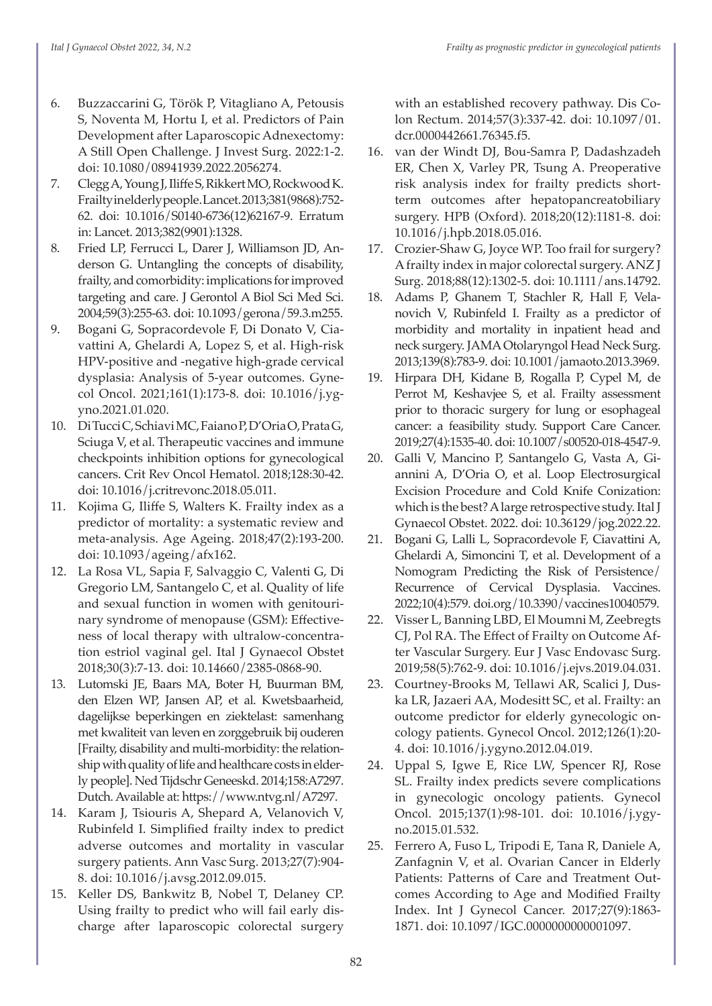- 6. Buzzaccarini G, Török P, Vitagliano A, Petousis S, Noventa M, Hortu I, et al. Predictors of Pain Development after Laparoscopic Adnexectomy: A Still Open Challenge. J Invest Surg. 2022:1-2. doi: 10.1080/08941939.2022.2056274.
- 7. Clegg A, Young J, Iliffe S, Rikkert MO, Rockwood K. Frailty in elderly people. Lancet. 2013;381(9868):752- 62. doi: 10.1016/S0140-6736(12)62167-9. Erratum in: Lancet. 2013;382(9901):1328.
- 8. Fried LP, Ferrucci L, Darer J, Williamson JD, Anderson G. Untangling the concepts of disability, frailty, and comorbidity: implications for improved targeting and care. J Gerontol A Biol Sci Med Sci. 2004;59(3):255-63. doi: 10.1093/gerona/59.3.m255.
- 9. Bogani G, Sopracordevole F, Di Donato V, Ciavattini A, Ghelardi A, Lopez S, et al. High-risk HPV-positive and -negative high-grade cervical dysplasia: Analysis of 5-year outcomes. Gynecol Oncol. 2021;161(1):173-8. doi: 10.1016/j.ygyno.2021.01.020.
- 10. Di Tucci C, Schiavi MC, Faiano P, D'Oria O, Prata G, Sciuga V, et al. Therapeutic vaccines and immune checkpoints inhibition options for gynecological cancers. Crit Rev Oncol Hematol. 2018;128:30-42. doi: 10.1016/j.critrevonc.2018.05.011.
- 11. Kojima G, Iliffe S, Walters K. Frailty index as a predictor of mortality: a systematic review and meta-analysis. Age Ageing. 2018;47(2):193-200. doi: 10.1093/ageing/afx162.
- 12. La Rosa VL, Sapia F, Salvaggio C, Valenti G, Di Gregorio LM, Santangelo C, et al. Quality of life and sexual function in women with genitourinary syndrome of menopause (GSM): Effectiveness of local therapy with ultralow-concentration estriol vaginal gel. Ital J Gynaecol Obstet 2018;30(3):7-13. doi: 10.14660/2385-0868-90.
- 13. Lutomski JE, Baars MA, Boter H, Buurman BM, den Elzen WP, Jansen AP, et al. Kwetsbaarheid, dagelijkse beperkingen en ziektelast: samenhang met kwaliteit van leven en zorggebruik bij ouderen [Frailty, disability and multi-morbidity: the relationship with quality of life and healthcare costs in elderly people]. Ned Tijdschr Geneeskd. 2014;158:A7297. Dutch. Available at: https://www.ntvg.nl/A7297.
- 14. Karam J, Tsiouris A, Shepard A, Velanovich V, Rubinfeld I. Simplified frailty index to predict adverse outcomes and mortality in vascular surgery patients. Ann Vasc Surg. 2013;27(7):904- 8. doi: 10.1016/j.avsg.2012.09.015.
- 15. Keller DS, Bankwitz B, Nobel T, Delaney CP. Using frailty to predict who will fail early discharge after laparoscopic colorectal surgery

with an established recovery pathway. Dis Colon Rectum. 2014;57(3):337-42. doi: 10.1097/01. dcr.0000442661.76345.f5.

- 16. van der Windt DJ, Bou-Samra P, Dadashzadeh ER, Chen X, Varley PR, Tsung A. Preoperative risk analysis index for frailty predicts shortterm outcomes after hepatopancreatobiliary surgery. HPB (Oxford). 2018;20(12):1181-8. doi: 10.1016/j.hpb.2018.05.016.
- 17. Crozier-Shaw G, Joyce WP. Too frail for surgery? A frailty index in major colorectal surgery. ANZ J Surg. 2018;88(12):1302-5. doi: 10.1111/ans.14792.
- 18. Adams P, Ghanem T, Stachler R, Hall F, Velanovich V, Rubinfeld I. Frailty as a predictor of morbidity and mortality in inpatient head and neck surgery. JAMA Otolaryngol Head Neck Surg. 2013;139(8):783-9. doi: 10.1001/jamaoto.2013.3969.
- 19. Hirpara DH, Kidane B, Rogalla P, Cypel M, de Perrot M, Keshavjee S, et al. Frailty assessment prior to thoracic surgery for lung or esophageal cancer: a feasibility study. Support Care Cancer. 2019;27(4):1535-40. doi: 10.1007/s00520-018-4547-9.
- 20. Galli V, Mancino P, Santangelo G, Vasta A, Giannini A, D'Oria O, et al. Loop Electrosurgical Excision Procedure and Cold Knife Conization: which is the best? A large retrospective study. Ital J Gynaecol Obstet. 2022. doi: 10.36129/jog.2022.22.
- 21. Bogani G, Lalli L, Sopracordevole F, Ciavattini A, Ghelardi A, Simoncini T, et al. Development of a Nomogram Predicting the Risk of Persistence/ Recurrence of Cervical Dysplasia. Vaccines. 2022;10(4):579. doi.org/10.3390/vaccines10040579.
- 22. Visser L, Banning LBD, El Moumni M, Zeebregts CJ, Pol RA. The Effect of Frailty on Outcome After Vascular Surgery. Eur J Vasc Endovasc Surg. 2019;58(5):762-9. doi: 10.1016/j.ejvs.2019.04.031.
- 23. Courtney-Brooks M, Tellawi AR, Scalici J, Duska LR, Jazaeri AA, Modesitt SC, et al. Frailty: an outcome predictor for elderly gynecologic oncology patients. Gynecol Oncol. 2012;126(1):20- 4. doi: 10.1016/j.ygyno.2012.04.019.
- 24. Uppal S, Igwe E, Rice LW, Spencer RJ, Rose SL. Frailty index predicts severe complications in gynecologic oncology patients. Gynecol Oncol. 2015;137(1):98-101. doi: 10.1016/j.ygyno.2015.01.532.
- 25. Ferrero A, Fuso L, Tripodi E, Tana R, Daniele A, Zanfagnin V, et al. Ovarian Cancer in Elderly Patients: Patterns of Care and Treatment Outcomes According to Age and Modified Frailty Index. Int J Gynecol Cancer. 2017;27(9):1863- 1871. doi: 10.1097/IGC.0000000000001097.